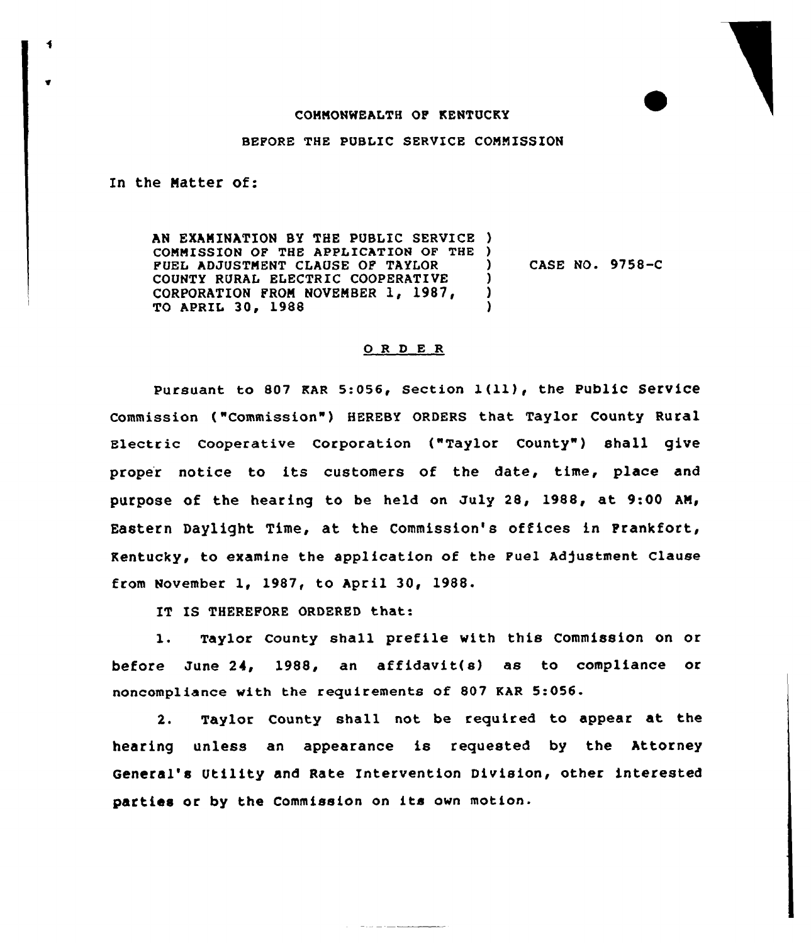## COMMONWEALTH OF KENTUCKY

## BEFORE THE PUBLIC SERVICE COMMISSION

In the Matter of:

AN EXAMINATION BY THE PUBLIC SERVICE ) COMMISSION OF THE APPLICATION OF THE ) FUEL ADJUSTMENT CLAUSE OF TAYIOR COUNTY RURAL ELECTRIC COOPERATIVE CORPORATION FROM NOVEMBER 1, 1987, TO APRIL 30, 1988 ) ) )

) CASE NO. 9758-C

## 0 R <sup>D</sup> E R

pursuant to <sup>807</sup> EAR 5:056, section 1(ll), the public service Commission ("Commission") HEREBY ORDERS that Taylor County Rural Electric cooperative corporation ("Taylor county") shall give proper notice to its customers of the date, time, place and purpose of the hearing to be held on July 28, 1988, at 9:00 AM, Eastern Daylight Time, at, the Commission's offices in Frankfort, Kentucky, to examine the application of the Fuel Adjustment Clause from November 1, 1987, to April 30, 1988.

IT IS THEREFORE ORDERED that:

1. Taylor County shall prefile with this Commission on or before June 24, 1988, an affidavit(s) as to compliance or noncompliance with the requirements of 807 RAR 5:056.

2. Taylor County shall not be required to appear at the hearing unless an appearance is requested by the Attorney General's Utility and Rate Intervention Division, other interested parties or by the Commission on its own motion.

 $\label{eq:1} \begin{split} \mathcal{L}_{\text{max}}(\mathcal{L}_{\text{max}},\mathcal{L}_{\text{max}},\mathcal{L}_{\text{max}},\mathcal{L}_{\text{max}}), \end{split}$